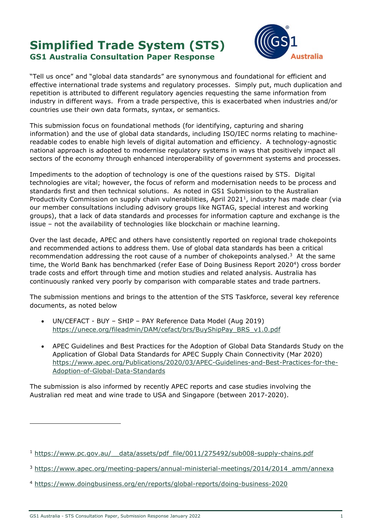# Simplified Trade System (STS) GS1 Australia Consultation Paper Response



"Tell us once" and "global data standards" are synonymous and foundational for efficient and effective international trade systems and regulatory processes. Simply put, much duplication and repetition is attributed to different regulatory agencies requesting the same information from industry in different ways. From a trade perspective, this is exacerbated when industries and/or countries use their own data formats, syntax, or semantics.

This submission focus on foundational methods (for identifying, capturing and sharing information) and the use of global data standards, including ISO/IEC norms relating to machinereadable codes to enable high levels of digital automation and efficiency. A technology-agnostic national approach is adopted to modernise regulatory systems in ways that positively impact all sectors of the economy through enhanced interoperability of government systems and processes.

Impediments to the adoption of technology is one of the questions raised by STS. Digital technologies are vital; however, the focus of reform and modernisation needs to be process and standards first and then technical solutions. As noted in GS1 Submission to the Australian Productivity Commission on supply chain vulnerabilities, April 2021<sup>1</sup>, industry has made clear (via our member consultations including advisory groups like NGTAG, special interest and working groups), that a lack of data standards and processes for information capture and exchange is the issue – not the availability of technologies like blockchain or machine learning.

Over the last decade, APEC and others have consistently reported on regional trade chokepoints and recommended actions to address them. Use of global data standards has been a critical recommendation addressing the root cause of a number of chokepoints analysed. $3$  At the same time, the World Bank has benchmarked (refer Ease of Doing Business Report 2020<sup>4</sup>) cross border trade costs and effort through time and motion studies and related analysis. Australia has continuously ranked very poorly by comparison with comparable states and trade partners.

The submission mentions and brings to the attention of the STS Taskforce, several key reference documents, as noted below

- UN/CEFACT BUY SHIP PAY Reference Data Model (Aug 2019) https://unece.org/fileadmin/DAM/cefact/brs/BuyShipPay\_BRS\_v1.0.pdf
- APEC Guidelines and Best Practices for the Adoption of Global Data Standards Study on the Application of Global Data Standards for APEC Supply Chain Connectivity (Mar 2020) https://www.apec.org/Publications/2020/03/APEC-Guidelines-and-Best-Practices-for-the-Adoption-of-Global-Data-Standards

The submission is also informed by recently APEC reports and case studies involving the Australian red meat and wine trade to USA and Singapore (between 2017-2020).

<sup>&</sup>lt;sup>1</sup> https://www.pc.gov.au/ data/assets/pdf file/0011/275492/sub008-supply-chains.pdf

<sup>&</sup>lt;sup>3</sup> https://www.apec.org/meeting-papers/annual-ministerial-meetings/2014/2014\_amm/annexa

<sup>4</sup> https://www.doingbusiness.org/en/reports/global-reports/doing-business-2020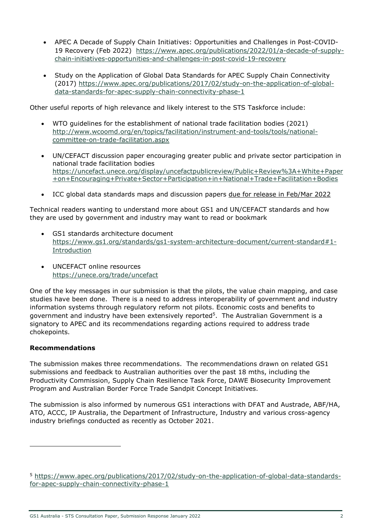- APEC A Decade of Supply Chain Initiatives: Opportunities and Challenges in Post-COVID-19 Recovery (Feb 2022) https://www.apec.org/publications/2022/01/a-decade-of-supplychain-initiatives-opportunities-and-challenges-in-post-covid-19-recovery
- Study on the Application of Global Data Standards for APEC Supply Chain Connectivity (2017) https://www.apec.org/publications/2017/02/study-on-the-application-of-globaldata-standards-for-apec-supply-chain-connectivity-phase-1

Other useful reports of high relevance and likely interest to the STS Taskforce include:

- WTO guidelines for the establishment of national trade facilitation bodies (2021) http://www.wcoomd.org/en/topics/facilitation/instrument-and-tools/tools/nationalcommittee-on-trade-facilitation.aspx
- UN/CEFACT discussion paper encouraging greater public and private sector participation in national trade facilitation bodies https://uncefact.unece.org/display/uncefactpublicreview/Public+Review%3A+White+Paper +on+Encouraging+Private+Sector+Participation+in+National+Trade+Facilitation+Bodies
- ICC global data standards maps and discussion papers due for release in Feb/Mar 2022

Technical readers wanting to understand more about GS1 and UN/CEFACT standards and how they are used by government and industry may want to read or bookmark

- GS1 standards architecture document https://www.gs1.org/standards/gs1-system-architecture-document/current-standard#1- Introduction
- UNCEFACT online resources https://unece.org/trade/uncefact

One of the key messages in our submission is that the pilots, the value chain mapping, and case studies have been done. There is a need to address interoperability of government and industry information systems through regulatory reform not pilots. Economic costs and benefits to government and industry have been extensively reported<sup>5</sup>. The Australian Government is a signatory to APEC and its recommendations regarding actions required to address trade chokepoints.

#### Recommendations

The submission makes three recommendations. The recommendations drawn on related GS1 submissions and feedback to Australian authorities over the past 18 mths, including the Productivity Commission, Supply Chain Resilience Task Force, DAWE Biosecurity Improvement Program and Australian Border Force Trade Sandpit Concept Initiatives.

The submission is also informed by numerous GS1 interactions with DFAT and Austrade, ABF/HA, ATO, ACCC, IP Australia, the Department of Infrastructure, Industry and various cross-agency industry briefings conducted as recently as October 2021.

<sup>5</sup> https://www.apec.org/publications/2017/02/study-on-the-application-of-global-data-standardsfor-apec-supply-chain-connectivity-phase-1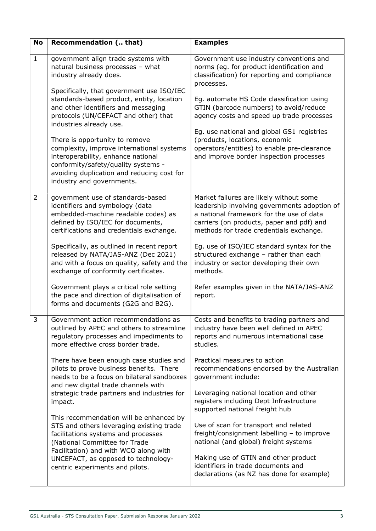| <b>No</b>      | Recommendation ( that)                                                                                                                                                                                                                                                                                                                                                                                                                  | <b>Examples</b>                                                                                                                                                                                                                                                                                                                                                |  |
|----------------|-----------------------------------------------------------------------------------------------------------------------------------------------------------------------------------------------------------------------------------------------------------------------------------------------------------------------------------------------------------------------------------------------------------------------------------------|----------------------------------------------------------------------------------------------------------------------------------------------------------------------------------------------------------------------------------------------------------------------------------------------------------------------------------------------------------------|--|
| $\mathbf{1}$   | government align trade systems with<br>natural business processes - what<br>industry already does.                                                                                                                                                                                                                                                                                                                                      | Government use industry conventions and<br>norms (eg. for product identification and<br>classification) for reporting and compliance<br>processes.                                                                                                                                                                                                             |  |
|                | Specifically, that government use ISO/IEC<br>standards-based product, entity, location<br>and other identifiers and messaging<br>protocols (UN/CEFACT and other) that<br>industries already use.<br>There is opportunity to remove<br>complexity, improve international systems<br>interoperability, enhance national<br>conformity/safety/quality systems -<br>avoiding duplication and reducing cost for<br>industry and governments. | Eg. automate HS Code classification using<br>GTIN (barcode numbers) to avoid/reduce<br>agency costs and speed up trade processes<br>Eg. use national and global GS1 registries<br>(products, locations, economic<br>operators/entities) to enable pre-clearance<br>and improve border inspection processes                                                     |  |
| $\overline{2}$ | government use of standards-based<br>identifiers and symbology (data<br>embedded-machine readable codes) as<br>defined by ISO/IEC for documents,<br>certifications and credentials exchange.<br>Specifically, as outlined in recent report<br>released by NATA/JAS-ANZ (Dec 2021)<br>and with a focus on quality, safety and the                                                                                                        | Market failures are likely without some<br>leadership involving governments adoption of<br>a national framework for the use of data<br>carriers (on products, paper and pdf) and<br>methods for trade credentials exchange.<br>Eg. use of ISO/IEC standard syntax for the<br>structured exchange - rather than each<br>industry or sector developing their own |  |
|                | exchange of conformity certificates.<br>Government plays a critical role setting<br>the pace and direction of digitalisation of<br>forms and documents (G2G and B2G).                                                                                                                                                                                                                                                                   | methods.<br>Refer examples given in the NATA/JAS-ANZ<br>report.                                                                                                                                                                                                                                                                                                |  |
| 3              | Government action recommendations as<br>outlined by APEC and others to streamline<br>regulatory processes and impediments to<br>more effective cross border trade.                                                                                                                                                                                                                                                                      | Costs and benefits to trading partners and<br>industry have been well defined in APEC<br>reports and numerous international case<br>studies.                                                                                                                                                                                                                   |  |
|                | There have been enough case studies and<br>pilots to prove business benefits. There<br>needs to be a focus on bilateral sandboxes<br>and new digital trade channels with<br>strategic trade partners and industries for<br>impact.                                                                                                                                                                                                      | Practical measures to action<br>recommendations endorsed by the Australian<br>government include:<br>Leveraging national location and other<br>registers including Dept Infrastructure                                                                                                                                                                         |  |
|                | This recommendation will be enhanced by<br>STS and others leveraging existing trade<br>facilitations systems and processes<br>(National Committee for Trade<br>Facilitation) and with WCO along with<br>UNCEFACT, as opposed to technology-<br>centric experiments and pilots.                                                                                                                                                          | supported national freight hub<br>Use of scan for transport and related<br>freight/consignment labelling - to improve<br>national (and global) freight systems<br>Making use of GTIN and other product<br>identifiers in trade documents and<br>declarations (as NZ has done for example)                                                                      |  |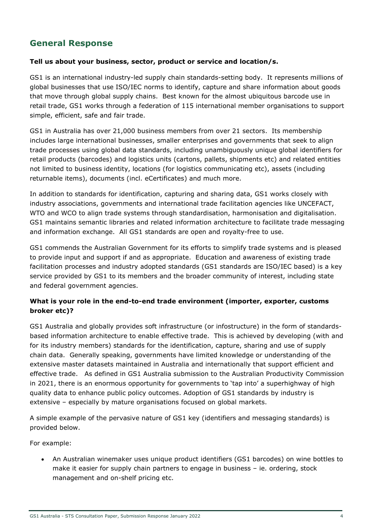## General Response

#### Tell us about your business, sector, product or service and location/s.

GS1 is an international industry-led supply chain standards-setting body. It represents millions of global businesses that use ISO/IEC norms to identify, capture and share information about goods that move through global supply chains. Best known for the almost ubiquitous barcode use in retail trade, GS1 works through a federation of 115 international member organisations to support simple, efficient, safe and fair trade.

GS1 in Australia has over 21,000 business members from over 21 sectors. Its membership includes large international businesses, smaller enterprises and governments that seek to align trade processes using global data standards, including unambiguously unique global identifiers for retail products (barcodes) and logistics units (cartons, pallets, shipments etc) and related entities not limited to business identity, locations (for logistics communicating etc), assets (including returnable items), documents (incl. eCertificates) and much more.

In addition to standards for identification, capturing and sharing data, GS1 works closely with industry associations, governments and international trade facilitation agencies like UNCEFACT, WTO and WCO to align trade systems through standardisation, harmonisation and digitalisation. GS1 maintains semantic libraries and related information architecture to facilitate trade messaging and information exchange. All GS1 standards are open and royalty-free to use.

GS1 commends the Australian Government for its efforts to simplify trade systems and is pleased to provide input and support if and as appropriate. Education and awareness of existing trade facilitation processes and industry adopted standards (GS1 standards are ISO/IEC based) is a key service provided by GS1 to its members and the broader community of interest, including state and federal government agencies.

## What is your role in the end-to-end trade environment (importer, exporter, customs broker etc)?

GS1 Australia and globally provides soft infrastructure (or infostructure) in the form of standardsbased information architecture to enable effective trade. This is achieved by developing (with and for its industry members) standards for the identification, capture, sharing and use of supply chain data. Generally speaking, governments have limited knowledge or understanding of the extensive master datasets maintained in Australia and internationally that support efficient and effective trade. As defined in GS1 Australia submission to the Australian Productivity Commission in 2021, there is an enormous opportunity for governments to 'tap into' a superhighway of high quality data to enhance public policy outcomes. Adoption of GS1 standards by industry is extensive – especially by mature organisations focused on global markets.

A simple example of the pervasive nature of GS1 key (identifiers and messaging standards) is provided below.

For example:

 An Australian winemaker uses unique product identifiers (GS1 barcodes) on wine bottles to make it easier for supply chain partners to engage in business – ie. ordering, stock management and on-shelf pricing etc.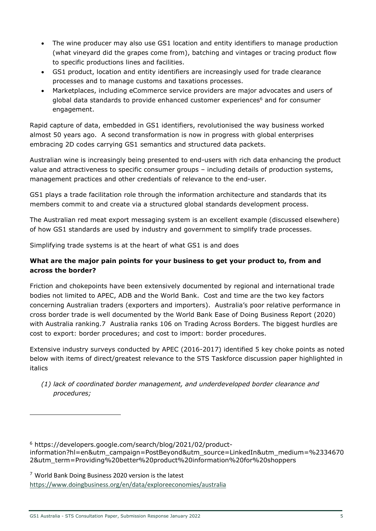- The wine producer may also use GS1 location and entity identifiers to manage production (what vineyard did the grapes come from), batching and vintages or tracing product flow to specific productions lines and facilities.
- GS1 product, location and entity identifiers are increasingly used for trade clearance processes and to manage customs and taxations processes.
- Marketplaces, including eCommerce service providers are major advocates and users of global data standards to provide enhanced customer experiences<sup>6</sup> and for consumer engagement.

Rapid capture of data, embedded in GS1 identifiers, revolutionised the way business worked almost 50 years ago. A second transformation is now in progress with global enterprises embracing 2D codes carrying GS1 semantics and structured data packets.

Australian wine is increasingly being presented to end-users with rich data enhancing the product value and attractiveness to specific consumer groups – including details of production systems, management practices and other credentials of relevance to the end-user.

GS1 plays a trade facilitation role through the information architecture and standards that its members commit to and create via a structured global standards development process.

The Australian red meat export messaging system is an excellent example (discussed elsewhere) of how GS1 standards are used by industry and government to simplify trade processes.

Simplifying trade systems is at the heart of what GS1 is and does

## What are the major pain points for your business to get your product to, from and across the border?

Friction and chokepoints have been extensively documented by regional and international trade bodies not limited to APEC, ADB and the World Bank. Cost and time are the two key factors concerning Australian traders (exporters and importers). Australia's poor relative performance in cross border trade is well documented by the World Bank Ease of Doing Business Report (2020) with Australia ranking.7 Australia ranks 106 on Trading Across Borders. The biggest hurdles are cost to export: border procedures; and cost to import: border procedures.

Extensive industry surveys conducted by APEC (2016-2017) identified 5 key choke points as noted below with items of direct/greatest relevance to the STS Taskforce discussion paper highlighted in italics

(1) lack of coordinated border management, and underdeveloped border clearance and procedures;

6 https://developers.google.com/search/blog/2021/02/productinformation?hl=en&utm\_campaign=PostBeyond&utm\_source=LinkedIn&utm\_medium=%2334670 2&utm\_term=Providing%20better%20product%20information%20for%20shoppers

<sup>7</sup> World Bank Doing Business 2020 version is the latest https://www.doingbusiness.org/en/data/exploreeconomies/australia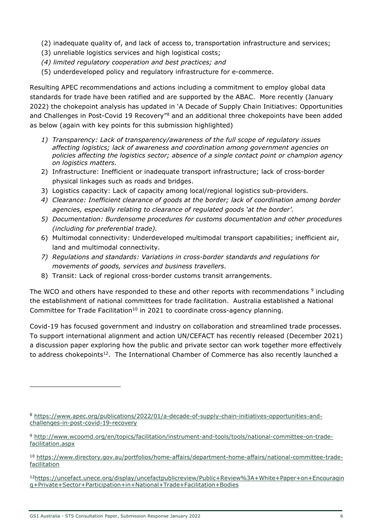- (2) inadequate quality of, and lack of access to, transportation infrastructure and services;
- (3) unreliable logistics services and high logistical costs;
- (4) limited regulatory cooperation and best practices; and
- (5) underdeveloped policy and regulatory infrastructure for e-commerce.

Resulting APEC recommendations and actions including a commitment to employ global data standards for trade have been ratified and are supported by the ABAC. More recently (January 2022) the chokepoint analysis has updated in 'A Decade of Supply Chain Initiatives: Opportunities and Challenges in Post-Covid 19 Recovery<sup>"8</sup> and an additional three chokepoints have been added as below (again with key points for this submission highlighted)

- 1) Transparency: Lack of transparency/awareness of the full scope of regulatory issues affecting logistics; lack of awareness and coordination among government agencies on policies affecting the logistics sector; absence of a single contact point or champion agency on logistics matters.
- 2) Infrastructure: Inefficient or inadequate transport infrastructure; lack of cross-border physical linkages such as roads and bridges.
- 3) Logistics capacity: Lack of capacity among local/regional logistics sub-providers.
- 4) Clearance: Inefficient clearance of goods at the border; lack of coordination among border agencies, especially relating to clearance of regulated goods 'at the border'.
- 5) Documentation: Burdensome procedures for customs documentation and other procedures (including for preferential trade).
- 6) Multimodal connectivity: Underdeveloped multimodal transport capabilities; inefficient air, land and multimodal connectivity.
- 7) Regulations and standards: Variations in cross-border standards and regulations for movements of goods, services and business travellers.
- 8) Transit: Lack of regional cross-border customs transit arrangements.

The WCO and others have responded to these and other reports with recommendations <sup>9</sup> including the establishment of national committees for trade facilitation. Australia established a National Committee for Trade Facilitation<sup>10</sup> in 2021 to coordinate cross-agency planning.

Covid-19 has focused government and industry on collaboration and streamlined trade processes. To support international alignment and action UN/CEFACT has recently released (December 2021) a discussion paper exploring how the public and private sector can work together more effectively to address chokepoints<sup>12</sup>. The International Chamber of Commerce has also recently launched a

<sup>12</sup>https://uncefact.unece.org/display/uncefactpublicreview/Public+Review%3A+White+Paper+on+Encouragin g+Private+Sector+Participation+in+National+Trade+Facilitation+Bodies

<sup>8</sup> https://www.apec.org/publications/2022/01/a-decade-of-supply-chain-initiatives-opportunities-andchallenges-in-post-covid-19-recovery

<sup>9</sup> http://www.wcoomd.org/en/topics/facilitation/instrument-and-tools/tools/national-committee-on-tradefacilitation.aspx

<sup>10</sup> https://www.directory.gov.au/portfolios/home-affairs/department-home-affairs/national-committee-tradefacilitation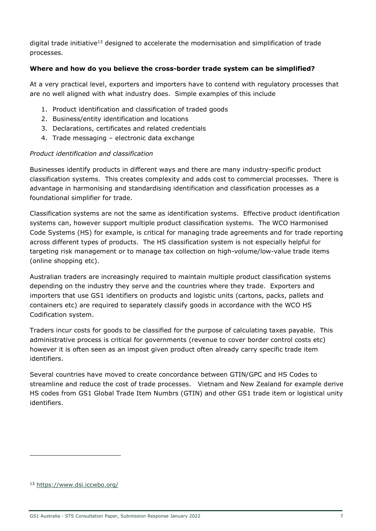digital trade initiative<sup>13</sup> designed to accelerate the modernisation and simplification of trade processes.

## Where and how do you believe the cross-border trade system can be simplified?

At a very practical level, exporters and importers have to contend with regulatory processes that are no well aligned with what industry does. Simple examples of this include

- 1. Product identification and classification of traded goods
- 2. Business/entity identification and locations
- 3. Declarations, certificates and related credentials
- 4. Trade messaging electronic data exchange

#### Product identification and classification

Businesses identify products in different ways and there are many industry-specific product classification systems. This creates complexity and adds cost to commercial processes. There is advantage in harmonising and standardising identification and classification processes as a foundational simplifier for trade.

Classification systems are not the same as identification systems. Effective product identification systems can, however support multiple product classification systems. The WCO Harmonised Code Systems (HS) for example, is critical for managing trade agreements and for trade reporting across different types of products. The HS classification system is not especially helpful for targeting risk management or to manage tax collection on high-volume/low-value trade items (online shopping etc).

Australian traders are increasingly required to maintain multiple product classification systems depending on the industry they serve and the countries where they trade. Exporters and importers that use GS1 identifiers on products and logistic units (cartons, packs, pallets and containers etc) are required to separately classify goods in accordance with the WCO HS Codification system.

Traders incur costs for goods to be classified for the purpose of calculating taxes payable. This administrative process is critical for governments (revenue to cover border control costs etc) however it is often seen as an impost given product often already carry specific trade item identifiers.

Several countries have moved to create concordance between GTIN/GPC and HS Codes to streamline and reduce the cost of trade processes. Vietnam and New Zealand for example derive HS codes from GS1 Global Trade Item Numbrs (GTIN) and other GS1 trade item or logistical unity identifiers.

<sup>13</sup> https://www.dsi.iccwbo.org/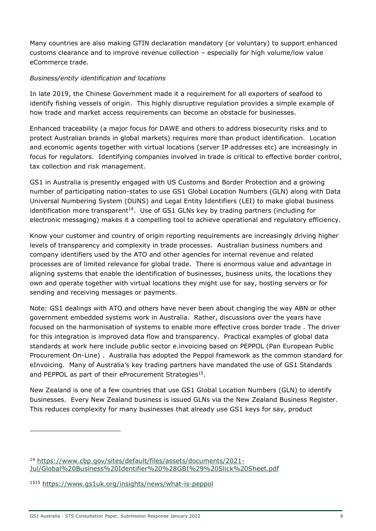Many countries are also making GTIN declaration mandatory (or voluntary) to support enhanced customs clearance and to improve revenue collection – especially for high volume/low value eCommerce trade.

## Business/entity identification and locations

In late 2019, the Chinese Government made it a requirement for all exporters of seafood to identify fishing vessels of origin. This highly disruptive regulation provides a simple example of how trade and market access requirements can become an obstacle for businesses.

Enhanced traceability (a major focus for DAWE and others to address biosecurity risks and to protect Australian brands in global markets) requires more than product identification. Location and economic agents together with virtual locations (server IP addresses etc) are increasingly in focus for regulators. Identifying companies involved in trade is critical to effective border control, tax collection and risk management.

GS1 in Australia is presently engaged with US Customs and Border Protection and a growing number of participating nation-states to use GS1 Global Location Numbers (GLN) along with Data Universal Numbering System (DUNS) and Legal Entity Identifiers (LEI) to make global business identification more transparent<sup>14</sup>. Use of GS1 GLNs key by trading partners (including for electronic messaging) makes it a compelling tool to achieve operational and regulatory efficiency.

Know your customer and country of origin reporting requirements are increasingly driving higher levels of transparency and complexity in trade processes. Australian business numbers and company identifiers used by the ATO and other agencies for internal revenue and related processes are of limited relevance for global trade. There is enormous value and advantage in aligning systems that enable the identification of businesses, business units, the locations they own and operate together with virtual locations they might use for say, hosting servers or for sending and receiving messages or payments.

Note: GS1 dealings with ATO and others have never been about changing the way ABN or other government embedded systems work in Australia. Rather, discussions over the years have focused on the harmonisation of systems to enable more effective cross border trade . The driver for this integration is improved data flow and transparency. Practical examples of global data standards at work here include public sector e.invoicing based on PEPPOL (Pan European Public Procurement On-Line) . Australia has adopted the Peppol framework as the common standard for eInvoicing. Many of Australia's key trading partners have mandated the use of GS1 Standards and PEPPOL as part of their eProcurement Strategies<sup>15</sup>.

New Zealand is one of a few countries that use GS1 Global Location Numbers (GLN) to identify businesses. Every New Zealand business is issued GLNs via the New Zealand Business Register. This reduces complexity for many businesses that already use GS1 keys for say, product

<sup>14</sup> https://www.cbp.gov/sites/default/files/assets/documents/2021- Jul/Global%20Business%20Identifier%20%28GBI%29%20Slick%20Sheet.pdf

<sup>1515</sup> https://www.gs1uk.org/insights/news/what-is-peppol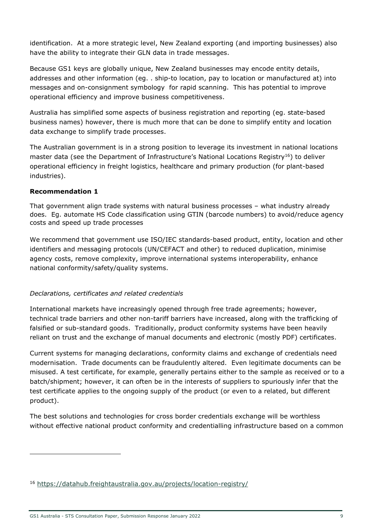identification. At a more strategic level, New Zealand exporting (and importing businesses) also have the ability to integrate their GLN data in trade messages.

Because GS1 keys are globally unique, New Zealand businesses may encode entity details, addresses and other information (eg. . ship-to location, pay to location or manufactured at) into messages and on-consignment symbology for rapid scanning. This has potential to improve operational efficiency and improve business competitiveness.

Australia has simplified some aspects of business registration and reporting (eg. state-based business names) however, there is much more that can be done to simplify entity and location data exchange to simplify trade processes.

The Australian government is in a strong position to leverage its investment in national locations master data (see the Department of Infrastructure's National Locations Registry<sup>16</sup>) to deliver operational efficiency in freight logistics, healthcare and primary production (for plant-based industries).

#### Recommendation 1

That government align trade systems with natural business processes – what industry already does. Eg. automate HS Code classification using GTIN (barcode numbers) to avoid/reduce agency costs and speed up trade processes

We recommend that government use ISO/IEC standards-based product, entity, location and other identifiers and messaging protocols (UN/CEFACT and other) to reduced duplication, minimise agency costs, remove complexity, improve international systems interoperability, enhance national conformity/safety/quality systems.

#### Declarations, certificates and related credentials

International markets have increasingly opened through free trade agreements; however, technical trade barriers and other non-tariff barriers have increased, along with the trafficking of falsified or sub-standard goods. Traditionally, product conformity systems have been heavily reliant on trust and the exchange of manual documents and electronic (mostly PDF) certificates.

Current systems for managing declarations, conformity claims and exchange of credentials need modernisation. Trade documents can be fraudulently altered. Even legitimate documents can be misused. A test certificate, for example, generally pertains either to the sample as received or to a batch/shipment; however, it can often be in the interests of suppliers to spuriously infer that the test certificate applies to the ongoing supply of the product (or even to a related, but different product).

The best solutions and technologies for cross border credentials exchange will be worthless without effective national product conformity and credentialling infrastructure based on a common

<sup>16</sup> https://datahub.freightaustralia.gov.au/projects/location-registry/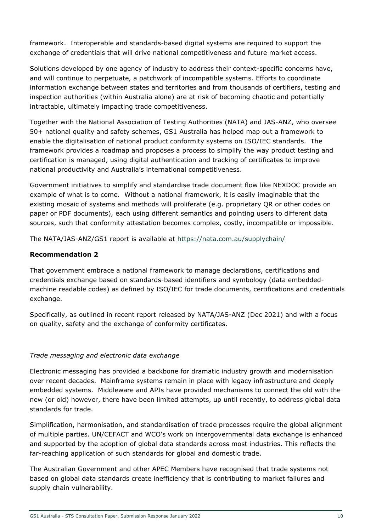framework. Interoperable and standards-based digital systems are required to support the exchange of credentials that will drive national competitiveness and future market access.

Solutions developed by one agency of industry to address their context-specific concerns have, and will continue to perpetuate, a patchwork of incompatible systems. Efforts to coordinate information exchange between states and territories and from thousands of certifiers, testing and inspection authorities (within Australia alone) are at risk of becoming chaotic and potentially intractable, ultimately impacting trade competitiveness.

Together with the National Association of Testing Authorities (NATA) and JAS-ANZ, who oversee 50+ national quality and safety schemes, GS1 Australia has helped map out a framework to enable the digitalisation of national product conformity systems on ISO/IEC standards. The framework provides a roadmap and proposes a process to simplify the way product testing and certification is managed, using digital authentication and tracking of certificates to improve national productivity and Australia's international competitiveness.

Government initiatives to simplify and standardise trade document flow like NEXDOC provide an example of what is to come. Without a national framework, it is easily imaginable that the existing mosaic of systems and methods will proliferate (e.g. proprietary QR or other codes on paper or PDF documents), each using different semantics and pointing users to different data sources, such that conformity attestation becomes complex, costly, incompatible or impossible.

The NATA/JAS-ANZ/GS1 report is available at https://nata.com.au/supplychain/

## Recommendation 2

That government embrace a national framework to manage declarations, certifications and credentials exchange based on standards-based identifiers and symbology (data embeddedmachine readable codes) as defined by ISO/IEC for trade documents, certifications and credentials exchange.

Specifically, as outlined in recent report released by NATA/JAS-ANZ (Dec 2021) and with a focus on quality, safety and the exchange of conformity certificates.

## Trade messaging and electronic data exchange

Electronic messaging has provided a backbone for dramatic industry growth and modernisation over recent decades. Mainframe systems remain in place with legacy infrastructure and deeply embedded systems. Middleware and APIs have provided mechanisms to connect the old with the new (or old) however, there have been limited attempts, up until recently, to address global data standards for trade.

Simplification, harmonisation, and standardisation of trade processes require the global alignment of multiple parties. UN/CEFACT and WCO's work on intergovernmental data exchange is enhanced and supported by the adoption of global data standards across most industries. This reflects the far-reaching application of such standards for global and domestic trade.

The Australian Government and other APEC Members have recognised that trade systems not based on global data standards create inefficiency that is contributing to market failures and supply chain vulnerability.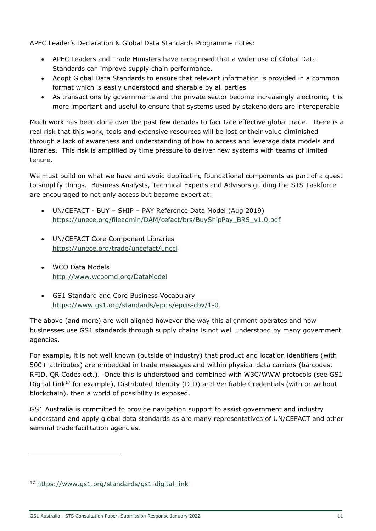APEC Leader's Declaration & Global Data Standards Programme notes:

- APEC Leaders and Trade Ministers have recognised that a wider use of Global Data Standards can improve supply chain performance.
- Adopt Global Data Standards to ensure that relevant information is provided in a common format which is easily understood and sharable by all parties
- As transactions by governments and the private sector become increasingly electronic, it is more important and useful to ensure that systems used by stakeholders are interoperable

Much work has been done over the past few decades to facilitate effective global trade. There is a real risk that this work, tools and extensive resources will be lost or their value diminished through a lack of awareness and understanding of how to access and leverage data models and libraries. This risk is amplified by time pressure to deliver new systems with teams of limited tenure.

We must build on what we have and avoid duplicating foundational components as part of a quest to simplify things. Business Analysts, Technical Experts and Advisors guiding the STS Taskforce are encouraged to not only access but become expert at:

- UN/CEFACT BUY SHIP PAY Reference Data Model (Aug 2019) https://unece.org/fileadmin/DAM/cefact/brs/BuyShipPay\_BRS\_v1.0.pdf
- UN/CEFACT Core Component Libraries https://unece.org/trade/uncefact/unccl
- WCO Data Models http://www.wcoomd.org/DataModel
- GS1 Standard and Core Business Vocabulary https://www.gs1.org/standards/epcis/epcis-cbv/1-0

The above (and more) are well aligned however the way this alignment operates and how businesses use GS1 standards through supply chains is not well understood by many government agencies.

For example, it is not well known (outside of industry) that product and location identifiers (with 500+ attributes) are embedded in trade messages and within physical data carriers (barcodes, RFID, QR Codes ect.). Once this is understood and combined with W3C/WWW protocols (see GS1 Digital Link<sup>17</sup> for example), Distributed Identity (DID) and Verifiable Credentials (with or without blockchain), then a world of possibility is exposed.

GS1 Australia is committed to provide navigation support to assist government and industry understand and apply global data standards as are many representatives of UN/CEFACT and other seminal trade facilitation agencies.

<sup>17</sup> https://www.gs1.org/standards/gs1-digital-link

GS1 Australia - STS Consultation Paper, Submission Response January 2022 11 11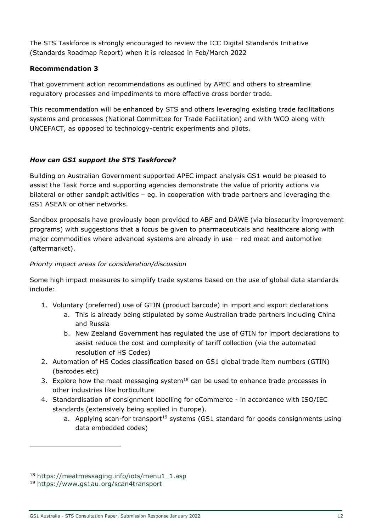The STS Taskforce is strongly encouraged to review the ICC Digital Standards Initiative (Standards Roadmap Report) when it is released in Feb/March 2022

#### Recommendation 3

That government action recommendations as outlined by APEC and others to streamline regulatory processes and impediments to more effective cross border trade.

This recommendation will be enhanced by STS and others leveraging existing trade facilitations systems and processes (National Committee for Trade Facilitation) and with WCO along with UNCEFACT, as opposed to technology-centric experiments and pilots.

## How can GS1 support the STS Taskforce?

Building on Australian Government supported APEC impact analysis GS1 would be pleased to assist the Task Force and supporting agencies demonstrate the value of priority actions via bilateral or other sandpit activities – eg. in cooperation with trade partners and leveraging the GS1 ASEAN or other networks.

Sandbox proposals have previously been provided to ABF and DAWE (via biosecurity improvement programs) with suggestions that a focus be given to pharmaceuticals and healthcare along with major commodities where advanced systems are already in use – red meat and automotive (aftermarket).

## Priority impact areas for consideration/discussion

Some high impact measures to simplify trade systems based on the use of global data standards include:

- 1. Voluntary (preferred) use of GTIN (product barcode) in import and export declarations
	- a. This is already being stipulated by some Australian trade partners including China and Russia
	- b. New Zealand Government has regulated the use of GTIN for import declarations to assist reduce the cost and complexity of tariff collection (via the automated resolution of HS Codes)
- 2. Automation of HS Codes classification based on GS1 global trade item numbers (GTIN) (barcodes etc)
- 3. Explore how the meat messaging system $18$  can be used to enhance trade processes in other industries like horticulture
- 4. Standardisation of consignment labelling for eCommerce in accordance with ISO/IEC standards (extensively being applied in Europe).
	- a. Applying scan-for transport<sup>19</sup> systems (GS1 standard for goods consignments using data embedded codes)

<sup>18</sup> https://meatmessaging.info/iots/menu1\_1.asp

<sup>19</sup> https://www.gs1au.org/scan4transport

GS1 Australia - STS Consultation Paper, Submission Response January 2022 12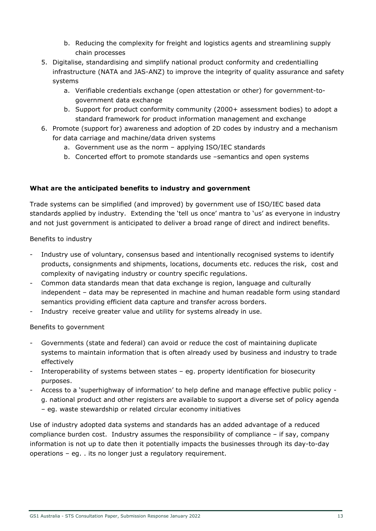- b. Reducing the complexity for freight and logistics agents and streamlining supply chain processes
- 5. Digitalise, standardising and simplify national product conformity and credentialling infrastructure (NATA and JAS-ANZ) to improve the integrity of quality assurance and safety systems
	- a. Verifiable credentials exchange (open attestation or other) for government-togovernment data exchange
	- b. Support for product conformity community (2000+ assessment bodies) to adopt a standard framework for product information management and exchange
- 6. Promote (support for) awareness and adoption of 2D codes by industry and a mechanism for data carriage and machine/data driven systems
	- a. Government use as the norm applying ISO/IEC standards
	- b. Concerted effort to promote standards use –semantics and open systems

## What are the anticipated benefits to industry and government

Trade systems can be simplified (and improved) by government use of ISO/IEC based data standards applied by industry. Extending the 'tell us once' mantra to 'us' as everyone in industry and not just government is anticipated to deliver a broad range of direct and indirect benefits.

Benefits to industry

- Industry use of voluntary, consensus based and intentionally recognised systems to identify products, consignments and shipments, locations, documents etc. reduces the risk, cost and complexity of navigating industry or country specific regulations.
- Common data standards mean that data exchange is region, language and culturally independent – data may be represented in machine and human readable form using standard semantics providing efficient data capture and transfer across borders.
- Industry receive greater value and utility for systems already in use.

Benefits to government

- Governments (state and federal) can avoid or reduce the cost of maintaining duplicate systems to maintain information that is often already used by business and industry to trade effectively
- Interoperability of systems between states eq. property identification for biosecurity purposes.
- Access to a 'superhighway of information' to help define and manage effective public policy g. national product and other registers are available to support a diverse set of policy agenda – eg. waste stewardship or related circular economy initiatives

Use of industry adopted data systems and standards has an added advantage of a reduced compliance burden cost. Industry assumes the responsibility of compliance – if say, company information is not up to date then it potentially impacts the businesses through its day-to-day operations – eg. . its no longer just a regulatory requirement.